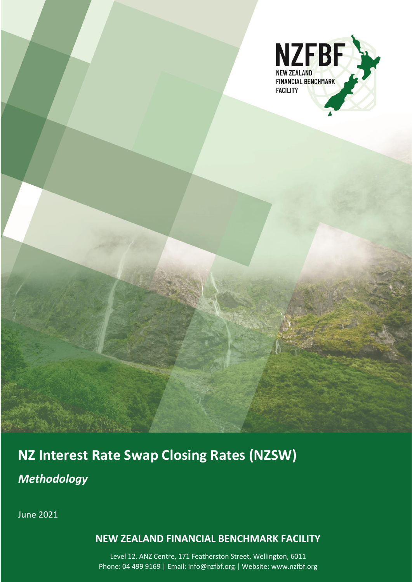

# **NZ Interest Rate Swap Closing Rates (NZSW)**

*Methodology*

June 2021

1 **NEW ZEALAND FINANCIAL BENCHMARK FACILITY**

Level 12, ANZ Centre, 171 Featherston Street, Wellington, 6011 Phone: 04 499 9169 | Email: info@nzfbf.org | Website: www.nzfbf.org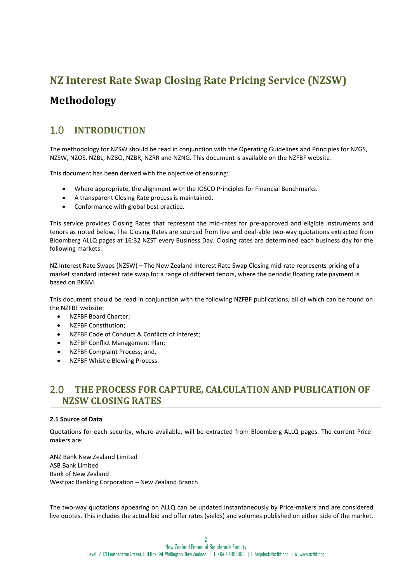# **NZ Interest Rate Swap Closing Rate Pricing Service (NZSW)**

# **Methodology**

# 1.0 **INTRODUCTION**

The methodology for NZSW should be read in conjunction with the Operating Guidelines and Principles for NZGS, NZSW, NZOS, NZBL, NZBO, NZBR, NZRR and NZNG. This document is available on the NZFBF website.

This document has been derived with the objective of ensuring:

- Where appropriate, the alignment with the IOSCO Principles for Financial Benchmarks.
- A transparent Closing Rate process is maintained.
- Conformance with global best practice.

This service provides Closing Rates that represent the mid-rates for pre-approved and eligible instruments and tenors as noted below. The Closing Rates are sourced from live and deal-able two-way quotations extracted from Bloomberg ALLQ pages at 16:32 NZST every Business Day. Closing rates are determined each business day for the following markets:

NZ Interest Rate Swaps (NZSW) – The New Zealand Interest Rate Swap Closing mid-rate represents pricing of a market standard interest rate swap for a range of different tenors, where the periodic floating rate payment is based on BKBM.

This document should be read in conjunction with the following NZFBF publications, all of which can be found on the NZFBF website:

- NZFBF Board Charter;
- NZFBF Constitution;
- NZFBF Code of Conduct & Conflicts of Interest;
- NZFBF Conflict Management Plan;
- NZFBF Complaint Process; and,
- NZFBF Whistle Blowing Process.

# 2.0 **THE PROCESS FOR CAPTURE, CALCULATION AND PUBLICATION OF NZSW CLOSING RATES**

### **2.1 Source of Data**

Quotations for each security, where available, will be extracted from Bloomberg ALLQ pages. The current Pricemakers are:

ANZ Bank New Zealand Limited ASB Bank Limited Bank of New Zealand Westpac Banking Corporation – New Zealand Branch

The two-way quotations appearing on ALLQ can be updated instantaneously by Price-makers and are considered live quotes. This includes the actual bid and offer rates (yields) and volumes published on either side of the market.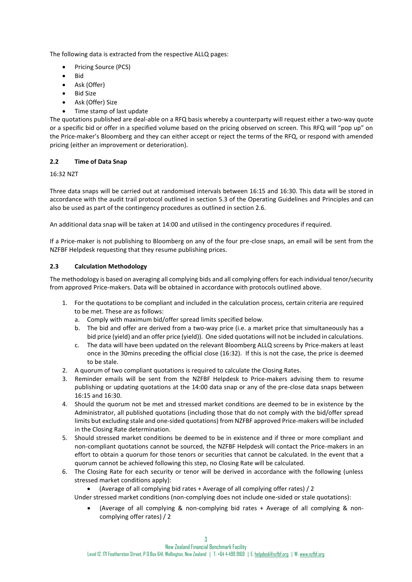The following data is extracted from the respective ALLQ pages:

- Pricing Source (PCS)
- Bid
- Ask (Offer)
- Bid Size
- Ask (Offer) Size
- Time stamp of last update

The quotations published are deal-able on a RFQ basis whereby a counterparty will request either a two-way quote or a specific bid or offer in a specified volume based on the pricing observed on screen. This RFQ will "pop up" on the Price-maker's Bloomberg and they can either accept or reject the terms of the RFQ, or respond with amended pricing (either an improvement or deterioration).

## **2.2 Time of Data Snap**

16:32 NZT

Three data snaps will be carried out at randomised intervals between 16:15 and 16:30. This data will be stored in accordance with the audit trail protocol outlined in section 5.3 of the Operating Guidelines and Principles and can also be used as part of the contingency procedures as outlined in section 2.6.

An additional data snap will be taken at 14:00 and utilised in the contingency procedures if required.

If a Price-maker is not publishing to Bloomberg on any of the four pre-close snaps, an email will be sent from the NZFBF Helpdesk requesting that they resume publishing prices.

## **2.3 Calculation Methodology**

The methodology is based on averaging all complying bids and all complying offers for each individual tenor/security from approved Price-makers. Data will be obtained in accordance with protocols outlined above.

- 1. For the quotations to be compliant and included in the calculation process, certain criteria are required to be met. These are as follows:
	- a. Comply with maximum bid/offer spread limits specified below.
	- b. The bid and offer are derived from a two-way price (i.e. a market price that simultaneously has a bid price (yield) and an offer price (yield)). One sided quotations will not be included in calculations.
	- c. The data will have been updated on the relevant Bloomberg ALLQ screens by Price-makers at least once in the 30mins preceding the official close (16:32). If this is not the case, the price is deemed to be stale.
- 2. A quorum of two compliant quotations is required to calculate the Closing Rates.
- 3. Reminder emails will be sent from the NZFBF Helpdesk to Price-makers advising them to resume publishing or updating quotations at the 14:00 data snap or any of the pre-close data snaps between 16:15 and 16:30.
- 4. Should the quorum not be met and stressed market conditions are deemed to be in existence by the Administrator, all published quotations (including those that do not comply with the bid/offer spread limits but excluding stale and one-sided quotations) from NZFBF approved Price-makers will be included in the Closing Rate determination.
- 5. Should stressed market conditions be deemed to be in existence and if three or more compliant and non-compliant quotations cannot be sourced, the NZFBF Helpdesk will contact the Price-makers in an effort to obtain a quorum for those tenors or securities that cannot be calculated. In the event that a quorum cannot be achieved following this step, no Closing Rate will be calculated.
- 6. The Closing Rate for each security or tenor will be derived in accordance with the following (unless stressed market conditions apply):
	- (Average of all complying bid rates + Average of all complying offer rates) / 2

Under stressed market conditions (non-complying does not include one-sided or stale quotations):

• (Average of all complying & non-complying bid rates + Average of all complying & noncomplying offer rates) / 2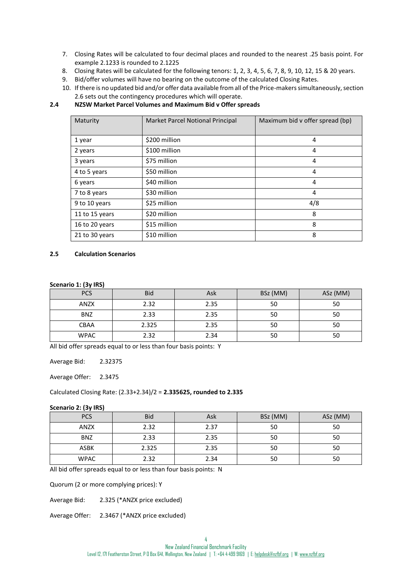- 7. Closing Rates will be calculated to four decimal places and rounded to the nearest .25 basis point. For example 2.1233 is rounded to 2.1225
- 8. Closing Rates will be calculated for the following tenors: 1, 2, 3, 4, 5, 6, 7, 8, 9, 10, 12, 15 & 20 years.
- 9. Bid/offer volumes will have no bearing on the outcome of the calculated Closing Rates.
- 10. If there is no updated bid and/or offer data available from all of the Price-makers simultaneously, section 2.6 sets out the contingency procedures which will operate.

### **2.4 NZSW Market Parcel Volumes and Maximum Bid v Offer spreads**

| Maturity       | Market Parcel Notional Principal | Maximum bid v offer spread (bp) |
|----------------|----------------------------------|---------------------------------|
| 1 year         | \$200 million                    | 4                               |
| 2 years        | \$100 million                    | 4                               |
| 3 years        | \$75 million                     | 4                               |
| 4 to 5 years   | \$50 million                     | 4                               |
| 6 years        | \$40 million                     | 4                               |
| 7 to 8 years   | \$30 million                     | 4                               |
| 9 to 10 years  | \$25 million                     | 4/8                             |
| 11 to 15 years | \$20 million                     | 8                               |
| 16 to 20 years | \$15 million                     | 8                               |
| 21 to 30 years | \$10 million                     | 8                               |

### **2.5 Calculation Scenarios**

#### **Scenario 1: (3y IRS)**

| <b>PCS</b>  | <b>Bid</b> | Ask  | BSz (MM) | ASz (MM) |
|-------------|------------|------|----------|----------|
| <b>ANZX</b> | 2.32       | 2.35 | 50       | 50       |
| <b>BNZ</b>  | 2.33       | 2.35 | 50       | 50       |
| <b>CBAA</b> | 2.325      | 2.35 | 50       | 50       |
| <b>WPAC</b> | 2.32       | 2.34 | 50       | 50       |

All bid offer spreads equal to or less than four basis points: Y

Average Bid: 2.32375

Average Offer: 2.3475

Calculated Closing Rate: (2.33+2.34)/2 = **2.335625, rounded to 2.335**

#### **Scenario 2: (3y IRS)**

| <b>PCS</b>  | <b>Bid</b> | Ask  | BSz (MM) | ASz (MM) |
|-------------|------------|------|----------|----------|
| <b>ANZX</b> | 2.32       | 2.37 | 50       | 50       |
| <b>BNZ</b>  | 2.33       | 2.35 | 50       | 50       |
| <b>ASBK</b> | 2.325      | 2.35 | 50       | 50       |
| <b>WPAC</b> | 2.32       | 2.34 | 50       | 50       |

All bid offer spreads equal to or less than four basis points: N

Quorum (2 or more complying prices): Y

Average Bid: 2.325 (\*ANZX price excluded)

Average Offer: 2.3467 (\*ANZX price excluded)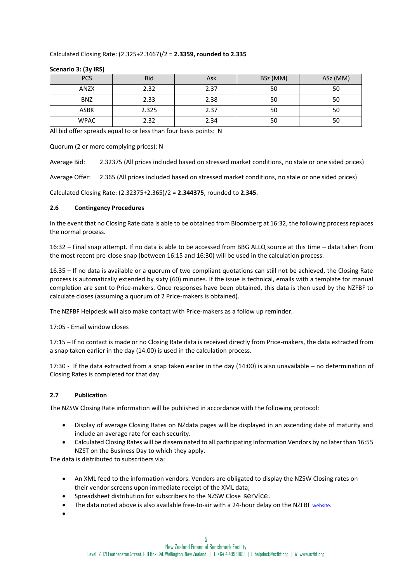#### Calculated Closing Rate: (2.325+2.3467)/2 = **2.3359, rounded to 2.335**

| <b>PCS</b>  | <b>Bid</b> | Ask  | BSz (MM) | ASz (MM) |
|-------------|------------|------|----------|----------|
| <b>ANZX</b> | 2.32       | 2.37 | 50       | 50       |
| <b>BNZ</b>  | 2.33       | 2.38 | 50       | 50       |
| <b>ASBK</b> | 2.325      | 2.37 | 50       | 50       |
| <b>WPAC</b> | 2.32       | 2.34 | 50       | 50       |

#### **Scenario 3: (3y IRS)**

All bid offer spreads equal to or less than four basis points: N

Quorum (2 or more complying prices): N

Average Bid: 2.32375 (All prices included based on stressed market conditions, no stale or one sided prices)

Average Offer: 2.365 (All prices included based on stressed market conditions, no stale or one sided prices)

Calculated Closing Rate: (2.32375+2.365)/2 = **2.344375**, rounded to **2.345**.

#### **2.6 Contingency Procedures**

In the event that no Closing Rate data is able to be obtained from Bloomberg at 16:32, the following process replaces the normal process.

16:32 – Final snap attempt. If no data is able to be accessed from BBG ALLQ source at this time – data taken from the most recent pre-close snap (between 16:15 and 16:30) will be used in the calculation process.

16.35 – If no data is available or a quorum of two compliant quotations can still not be achieved, the Closing Rate process is automatically extended by sixty (60) minutes. If the issue is technical, emails with a template for manual completion are sent to Price-makers. Once responses have been obtained, this data is then used by the NZFBF to calculate closes (assuming a quorum of 2 Price-makers is obtained).

The NZFBF Helpdesk will also make contact with Price-makers as a follow up reminder.

17:05 - Email window closes

17:15 – If no contact is made or no Closing Rate data is received directly from Price-makers, the data extracted from a snap taken earlier in the day (14:00) is used in the calculation process.

17:30 - If the data extracted from a snap taken earlier in the day (14:00) is also unavailable – no determination of Closing Rates is completed for that day.

### **2.7 Publication**

The NZSW Closing Rate information will be published in accordance with the following protocol:

- Display of average Closing Rates on NZdata pages will be displayed in an ascending date of maturity and include an average rate for each security.
- Calculated Closing Rates will be disseminated to all participating Information Vendors by no later than 16:55 NZST on the Business Day to which they apply.

The data is distributed to subscribers via:

- An XML feed to the information vendors. Vendors are obligated to display the NZSW Closing rates on their vendor screens upon immediate receipt of the XML data;
- Spreadsheet distribution for subscribers to the NZSW Close service.
- The data noted above is also available free-to-air with a 24-hour delay on the NZFBF [website](https://www.nzfma.org/data/search.aspx).
- •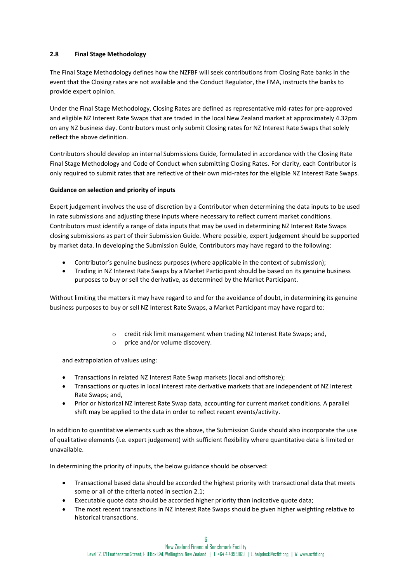# **2.8 Final Stage Methodology**

The Final Stage Methodology defines how the NZFBF will seek contributions from Closing Rate banks in the event that the Closing rates are not available and the Conduct Regulator, the FMA, instructs the banks to provide expert opinion.

Under the Final Stage Methodology, Closing Rates are defined as representative mid-rates for pre-approved and eligible NZ Interest Rate Swaps that are traded in the local New Zealand market at approximately 4.32pm on any NZ business day. Contributors must only submit Closing rates for NZ Interest Rate Swaps that solely reflect the above definition.

Contributors should develop an internal Submissions Guide, formulated in accordance with the Closing Rate Final Stage Methodology and Code of Conduct when submitting Closing Rates. For clarity, each Contributor is only required to submit rates that are reflective of their own mid-rates for the eligible NZ Interest Rate Swaps.

## **Guidance on selection and priority of inputs**

Expert judgement involves the use of discretion by a Contributor when determining the data inputs to be used in rate submissions and adjusting these inputs where necessary to reflect current market conditions. Contributors must identify a range of data inputs that may be used in determining NZ Interest Rate Swaps closing submissions as part of their Submission Guide. Where possible, expert judgement should be supported by market data. In developing the Submission Guide, Contributors may have regard to the following:

- Contributor's genuine business purposes (where applicable in the context of submission);
- Trading in NZ Interest Rate Swaps by a Market Participant should be based on its genuine business purposes to buy or sell the derivative, as determined by the Market Participant.

Without limiting the matters it may have regard to and for the avoidance of doubt, in determining its genuine business purposes to buy or sell NZ Interest Rate Swaps, a Market Participant may have regard to:

- o credit risk limit management when trading NZ Interest Rate Swaps; and,
- o price and/or volume discovery.

and extrapolation of values using:

- Transactions in related NZ Interest Rate Swap markets (local and offshore);
- Transactions or quotes in local interest rate derivative markets that are independent of NZ Interest Rate Swaps; and,
- Prior or historical NZ Interest Rate Swap data, accounting for current market conditions. A parallel shift may be applied to the data in order to reflect recent events/activity.

In addition to quantitative elements such as the above, the Submission Guide should also incorporate the use of qualitative elements (i.e. expert judgement) with sufficient flexibility where quantitative data is limited or unavailable.

In determining the priority of inputs, the below guidance should be observed:

- Transactional based data should be accorded the highest priority with transactional data that meets some or all of the criteria noted in section 2.1;
- Executable quote data should be accorded higher priority than indicative quote data;
- The most recent transactions in NZ Interest Rate Swaps should be given higher weighting relative to historical transactions.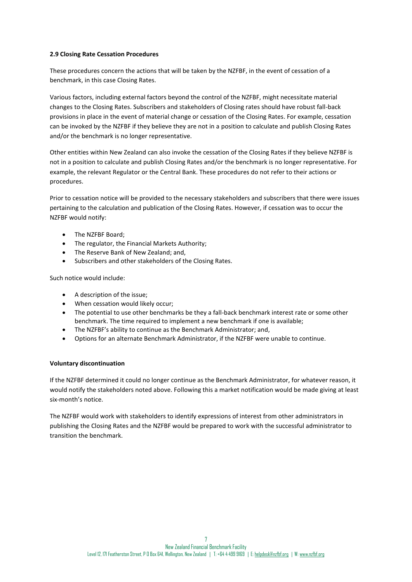### **2.9 Closing Rate Cessation Procedures**

These procedures concern the actions that will be taken by the NZFBF, in the event of cessation of a benchmark, in this case Closing Rates.

Various factors, including external factors beyond the control of the NZFBF, might necessitate material changes to the Closing Rates. Subscribers and stakeholders of Closing rates should have robust fall-back provisions in place in the event of material change or cessation of the Closing Rates. For example, cessation can be invoked by the NZFBF if they believe they are not in a position to calculate and publish Closing Rates and/or the benchmark is no longer representative.

Other entities within New Zealand can also invoke the cessation of the Closing Rates if they believe NZFBF is not in a position to calculate and publish Closing Rates and/or the benchmark is no longer representative. For example, the relevant Regulator or the Central Bank. These procedures do not refer to their actions or procedures.

Prior to cessation notice will be provided to the necessary stakeholders and subscribers that there were issues pertaining to the calculation and publication of the Closing Rates. However, if cessation was to occur the NZFBF would notify:

- The NZFBF Board;
- The regulator, the Financial Markets Authority;
- The Reserve Bank of New Zealand; and,
- Subscribers and other stakeholders of the Closing Rates.

Such notice would include:

- A description of the issue;
- When cessation would likely occur;
- The potential to use other benchmarks be they a fall-back benchmark interest rate or some other benchmark. The time required to implement a new benchmark if one is available;
- The NZFBF's ability to continue as the Benchmark Administrator; and,
- Options for an alternate Benchmark Administrator, if the NZFBF were unable to continue.

### **Voluntary discontinuation**

If the NZFBF determined it could no longer continue as the Benchmark Administrator, for whatever reason, it would notify the stakeholders noted above. Following this a market notification would be made giving at least six-month's notice.

The NZFBF would work with stakeholders to identify expressions of interest from other administrators in publishing the Closing Rates and the NZFBF would be prepared to work with the successful administrator to transition the benchmark.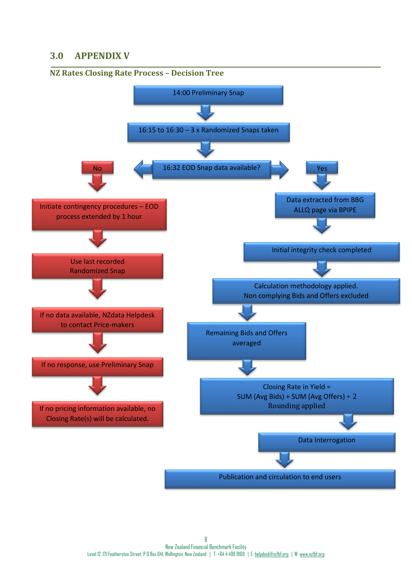# **3.0 APPENDIX V**

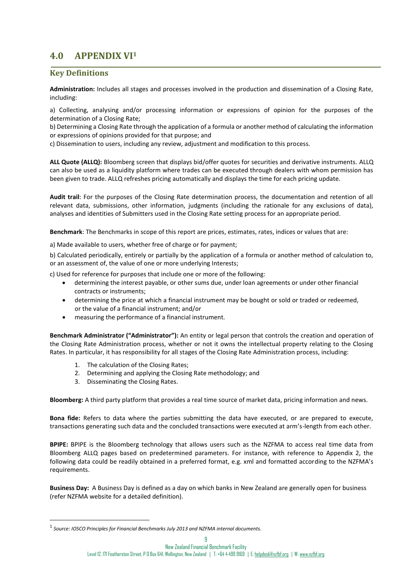# **4.0 APPENDIX VI<sup>1</sup>**

# **Key Definitions**

**Administration:** Includes all stages and processes involved in the production and dissemination of a Closing Rate, including:

a) Collecting, analysing and/or processing information or expressions of opinion for the purposes of the determination of a Closing Rate;

b) Determining a Closing Rate through the application of a formula or another method of calculating the information or expressions of opinions provided for that purpose; and

c) Dissemination to users, including any review, adjustment and modification to this process.

**ALL Quote (ALLQ):** Bloomberg screen that displays bid/offer quotes for securities and derivative instruments. ALLQ can also be used as a liquidity platform where trades can be executed through dealers with whom permission has been given to trade. ALLQ refreshes pricing automatically and displays the time for each pricing update.

**Audit trail**: For the purposes of the Closing Rate determination process, the documentation and retention of all relevant data, submissions, other information, judgments (including the rationale for any exclusions of data), analyses and identities of Submitters used in the Closing Rate setting process for an appropriate period.

**Benchmark**: The Benchmarks in scope of this report are prices, estimates, rates, indices or values that are:

a) Made available to users, whether free of charge or for payment;

b) Calculated periodically, entirely or partially by the application of a formula or another method of calculation to, or an assessment of, the value of one or more underlying Interests;

c) Used for reference for purposes that include one or more of the following:

- determining the interest payable, or other sums due, under loan agreements or under other financial contracts or instruments;
- determining the price at which a financial instrument may be bought or sold or traded or redeemed, or the value of a financial instrument; and/or
- measuring the performance of a financial instrument.

**Benchmark Administrator ("Administrator"):** An entity or legal person that controls the creation and operation of the Closing Rate Administration process, whether or not it owns the intellectual property relating to the Closing Rates. In particular, it has responsibility for all stages of the Closing Rate Administration process, including:

- 1. The calculation of the Closing Rates;
- 2. Determining and applying the Closing Rate methodology; and
- 3. Disseminating the Closing Rates.

**Bloomberg:** A third party platform that provides a real time source of market data, pricing information and news.

**Bona fide:** Refers to data where the parties submitting the data have executed, or are prepared to execute, transactions generating such data and the concluded transactions were executed at arm's-length from each other.

**BPIPE:** BPIPE is the Bloomberg technology that allows users such as the NZFMA to access real time data from Bloomberg ALLQ pages based on predetermined parameters. For instance, with reference to Appendix 2, the following data could be readily obtained in a preferred format, e.g. xml and formatted according to the NZFMA's requirements.

**Business Day:** A Business Day is defined as a day on which banks in New Zealand are generally open for business (refer NZFMA website for a detailed definition).

<sup>1</sup> *Source: IOSCO Principles for Financial Benchmarks July 2013 and NZFMA internal documents.*